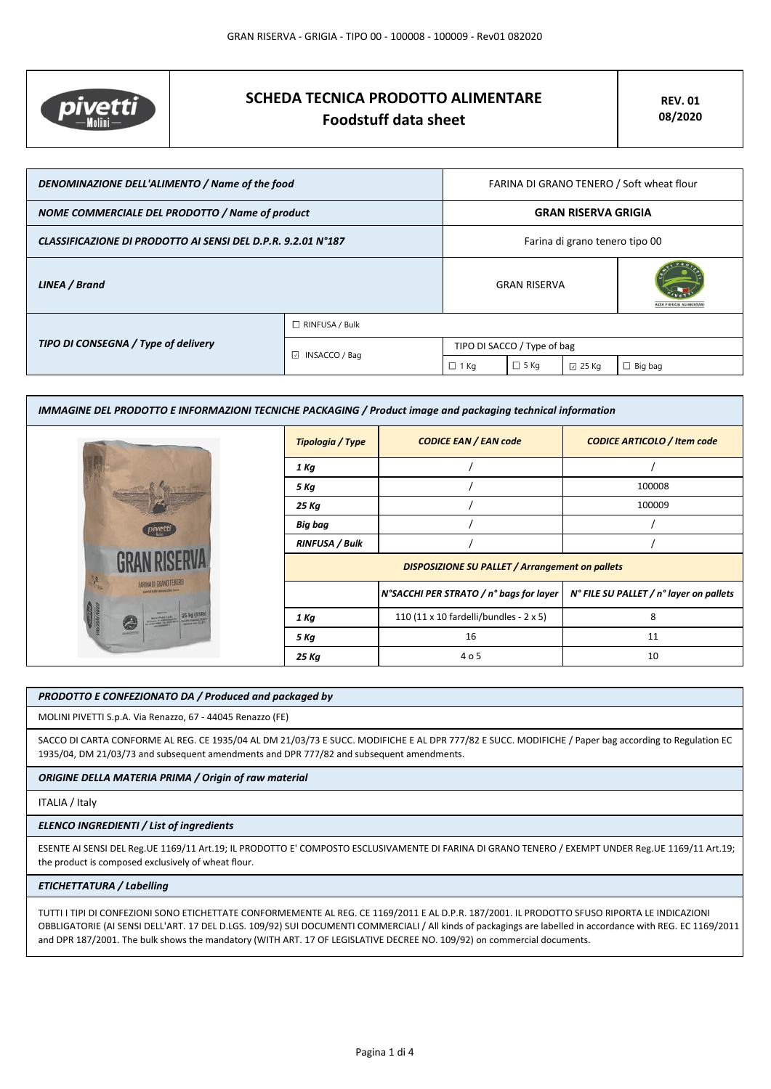

# **SCHEDA TECNICA PRODOTTO ALIMENTARE Foodstuff data sheet**

| DENOMINAZIONE DELL'ALIMENTO / Name of the food               |                         | FARINA DI GRANO TENERO / Soft wheat flour |             |                 |                |
|--------------------------------------------------------------|-------------------------|-------------------------------------------|-------------|-----------------|----------------|
| NOME COMMERCIALE DEL PRODOTTO / Name of product              |                         | <b>GRAN RISERVA GRIGIA</b>                |             |                 |                |
| CLASSIFICAZIONE DI PRODOTTO AI SENSI DEL D.P.R. 9.2.01 N°187 |                         | Farina di grano tenero tipo 00            |             |                 |                |
| LINEA / Brand                                                |                         | <b>GRAN RISERVA</b>                       |             |                 |                |
|                                                              | $\Box$ RINFUSA / Bulk   |                                           |             |                 |                |
| TIPO DI CONSEGNA / Type of delivery                          | $\boxdot$ INSACCO / Bag | TIPO DI SACCO / Type of bag               |             |                 |                |
|                                                              |                         | $\Box$ 1 Kg                               | $\Box$ 5 Kg | $\boxdot$ 25 Kg | $\Box$ Big bag |

| IMMAGINE DEL PRODOTTO E INFORMAZIONI TECNICHE PACKAGING / Product image and packaging technical information |                                                        |                                         |                                         |  |
|-------------------------------------------------------------------------------------------------------------|--------------------------------------------------------|-----------------------------------------|-----------------------------------------|--|
|                                                                                                             | Tipologia / Type                                       | <b>CODICE EAN / EAN code</b>            | <b>CODICE ARTICOLO / Item code</b>      |  |
|                                                                                                             | 1 Kg                                                   |                                         |                                         |  |
|                                                                                                             | 5 Kg                                                   |                                         | 100008                                  |  |
|                                                                                                             | 25 Kg                                                  |                                         | 100009                                  |  |
| pivetti                                                                                                     | Big bag                                                |                                         |                                         |  |
|                                                                                                             | <b>RINFUSA / Bulk</b>                                  |                                         |                                         |  |
|                                                                                                             | <b>DISPOSIZIONE SU PALLET / Arrangement on pallets</b> |                                         |                                         |  |
| FARINA DI GRANO TENERO<br><b>NAMES CAN GARDEN DAY TAYS</b>                                                  |                                                        | N°SACCHI PER STRATO / n° bags for layer | N° FILE SU PALLET / n° layer on pallets |  |
| <b>HARRY SEA</b>                                                                                            | 1 Kg                                                   | 110 (11 x 10 fardelli/bundles - 2 x 5)  | 8                                       |  |
|                                                                                                             | 5 Kg                                                   | 16                                      | 11                                      |  |
|                                                                                                             | 25 Kg                                                  | 4 o 5                                   | 10                                      |  |

# *PRODOTTO E CONFEZIONATO DA / Produced and packaged by*

MOLINI PIVETTI S.p.A. Via Renazzo, 67 - 44045 Renazzo (FE)

SACCO DI CARTA CONFORME AL REG. CE 1935/04 AL DM 21/03/73 E SUCC. MODIFICHE E AL DPR 777/82 E SUCC. MODIFICHE / Paper bag according to Regulation EC 1935/04, DM 21/03/73 and subsequent amendments and DPR 777/82 and subsequent amendments.

### *ORIGINE DELLA MATERIA PRIMA / Origin of raw material*

#### ITALIA / Italy

### *ELENCO INGREDIENTI / List of ingredients*

ESENTE AI SENSI DEL Reg.UE 1169/11 Art.19; IL PRODOTTO E' COMPOSTO ESCLUSIVAMENTE DI FARINA DI GRANO TENERO / EXEMPT UNDER Reg.UE 1169/11 Art.19; the product is composed exclusively of wheat flour.

### *ETICHETTATURA / Labelling*

TUTTI I TIPI DI CONFEZIONI SONO ETICHETTATE CONFORMEMENTE AL REG. CE 1169/2011 E AL D.P.R. 187/2001. IL PRODOTTO SFUSO RIPORTA LE INDICAZIONI OBBLIGATORIE (AI SENSI DELL'ART. 17 DEL D.LGS. 109/92) SUI DOCUMENTI COMMERCIALI / All kinds of packagings are labelled in accordance with REG. EC 1169/2011 and DPR 187/2001. The bulk shows the mandatory (WITH ART. 17 OF LEGISLATIVE DECREE NO. 109/92) on commercial documents.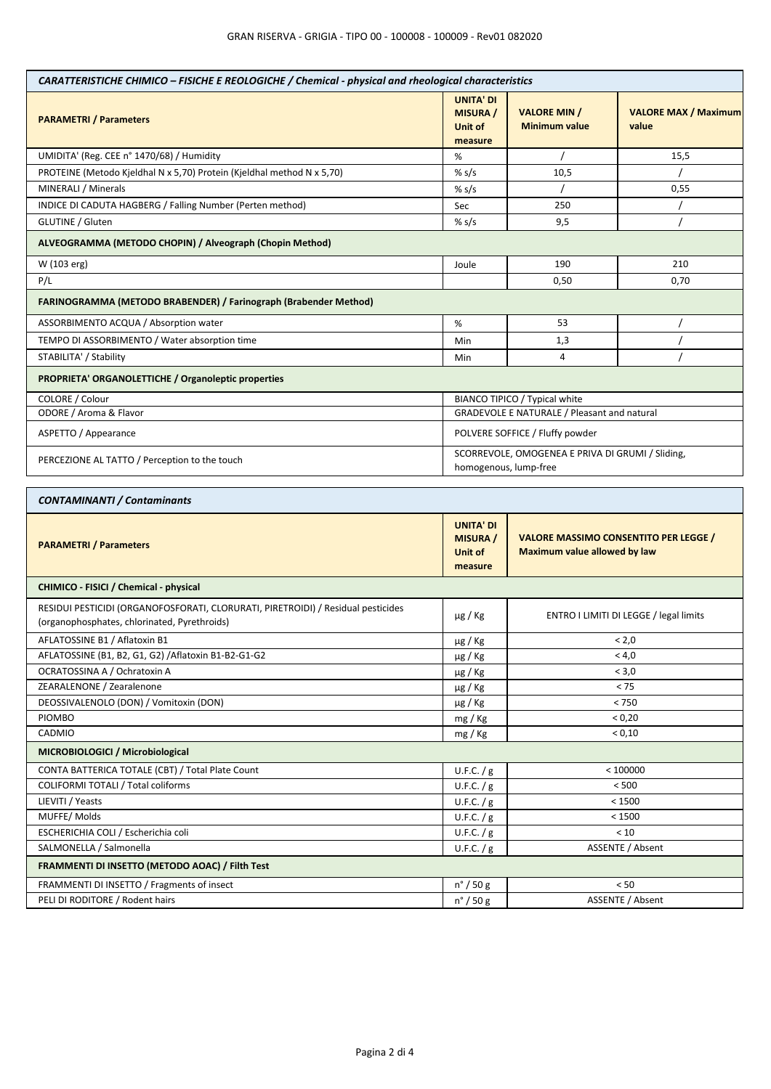| CARATTERISTICHE CHIMICO - FISICHE E REOLOGICHE / Chemical - physical and rheological characteristics                             |                                                           |                                                                                     |                                      |  |
|----------------------------------------------------------------------------------------------------------------------------------|-----------------------------------------------------------|-------------------------------------------------------------------------------------|--------------------------------------|--|
| <b>PARAMETRI / Parameters</b>                                                                                                    | <b>UNITA' DI</b><br><b>MISURA</b> /<br>Unit of<br>measure | <b>VALORE MIN /</b><br><b>Minimum value</b>                                         | <b>VALORE MAX / Maximum</b><br>value |  |
| UMIDITA' (Reg. CEE n° 1470/68) / Humidity                                                                                        | %                                                         |                                                                                     | 15,5                                 |  |
| PROTEINE (Metodo Kjeldhal N x 5,70) Protein (Kjeldhal method N x 5,70)                                                           | % $s/s$                                                   | 10,5                                                                                |                                      |  |
| MINERALI / Minerals                                                                                                              | % $s/s$                                                   |                                                                                     | 0,55                                 |  |
| INDICE DI CADUTA HAGBERG / Falling Number (Perten method)                                                                        | Sec                                                       | 250                                                                                 |                                      |  |
| GLUTINE / Gluten                                                                                                                 | % $s/s$                                                   | 9,5                                                                                 |                                      |  |
| ALVEOGRAMMA (METODO CHOPIN) / Alveograph (Chopin Method)                                                                         |                                                           |                                                                                     |                                      |  |
| W (103 erg)                                                                                                                      | Joule                                                     | 190                                                                                 | 210                                  |  |
| P/L                                                                                                                              |                                                           | 0,50<br>0,70                                                                        |                                      |  |
| FARINOGRAMMA (METODO BRABENDER) / Farinograph (Brabender Method)                                                                 |                                                           |                                                                                     |                                      |  |
| ASSORBIMENTO ACQUA / Absorption water                                                                                            | $\%$                                                      | 53                                                                                  |                                      |  |
| TEMPO DI ASSORBIMENTO / Water absorption time                                                                                    | Min                                                       | 1,3                                                                                 |                                      |  |
| STABILITA' / Stability                                                                                                           | Min                                                       | 4                                                                                   |                                      |  |
| PROPRIETA' ORGANOLETTICHE / Organoleptic properties                                                                              |                                                           |                                                                                     |                                      |  |
| COLORE / Colour                                                                                                                  |                                                           | BIANCO TIPICO / Typical white                                                       |                                      |  |
| ODORE / Aroma & Flavor                                                                                                           |                                                           | GRADEVOLE E NATURALE / Pleasant and natural                                         |                                      |  |
| ASPETTO / Appearance                                                                                                             |                                                           | POLVERE SOFFICE / Fluffy powder                                                     |                                      |  |
| PERCEZIONE AL TATTO / Perception to the touch                                                                                    |                                                           | SCORREVOLE, OMOGENEA E PRIVA DI GRUMI / Sliding,<br>homogenous, lump-free           |                                      |  |
| <b>CONTAMINANTI / Contaminants</b>                                                                                               |                                                           |                                                                                     |                                      |  |
| <b>PARAMETRI / Parameters</b>                                                                                                    | <b>UNITA' DI</b><br><b>MISURA</b> /<br>Unit of<br>measure | <b>VALORE MASSIMO CONSENTITO PER LEGGE /</b><br><b>Maximum value allowed by law</b> |                                      |  |
| CHIMICO - FISICI / Chemical - physical                                                                                           |                                                           |                                                                                     |                                      |  |
| RESIDUI PESTICIDI (ORGANOFOSFORATI, CLORURATI, PIRETROIDI) / Residual pesticides<br>(organophosphates, chlorinated, Pyrethroids) | $\mu$ g / Kg                                              | ENTRO I LIMITI DI LEGGE / legal limits                                              |                                      |  |
| AFLATOSSINE B1 / Aflatoxin B1                                                                                                    | $\mu$ g / Kg                                              | < 2,0                                                                               |                                      |  |
| AFLATOSSINE (B1, B2, G1, G2) / Aflatoxin B1-B2-G1-G2                                                                             | µg / Kg                                                   | < 4,0                                                                               |                                      |  |
| OCRATOSSINA A / Ochratoxin A                                                                                                     | $\mu$ g / Kg                                              | < 3,0                                                                               |                                      |  |
| ZEARALENONE / Zearalenone                                                                                                        | $\mu$ g / Kg                                              | < 75                                                                                |                                      |  |
| DEOSSIVALENOLO (DON) / Vomitoxin (DON)                                                                                           | µg / Kg                                                   | < 750                                                                               |                                      |  |
| PIOMBO                                                                                                                           | mg / Kg                                                   | < 0,20                                                                              |                                      |  |
| CADMIO                                                                                                                           | mg / Kg                                                   | < 0,10                                                                              |                                      |  |
| MICROBIOLOGICI / Microbiological                                                                                                 |                                                           |                                                                                     |                                      |  |
| CONTA BATTERICA TOTALE (CBT) / Total Plate Count                                                                                 | U.F.C. $/g$                                               | < 100000                                                                            |                                      |  |
| COLIFORMI TOTALI / Total coliforms                                                                                               | U.F.C. $/g$                                               | < 500                                                                               |                                      |  |
| LIEVITI / Yeasts                                                                                                                 | U.F.C. $/g$                                               | < 1500                                                                              |                                      |  |
| MUFFE/Molds                                                                                                                      | U.F.C. $/g$                                               | < 1500                                                                              |                                      |  |
| ESCHERICHIA COLI / Escherichia coli                                                                                              | U.F.C. / g                                                | < 10                                                                                |                                      |  |
| SALMONELLA / Salmonella                                                                                                          | U.F.C. $/g$                                               | ASSENTE / Absent                                                                    |                                      |  |
| FRAMMENTI DI INSETTO (METODO AOAC) / Filth Test                                                                                  |                                                           |                                                                                     |                                      |  |
|                                                                                                                                  |                                                           |                                                                                     |                                      |  |
| FRAMMENTI DI INSETTO / Fragments of insect<br>PELI DI RODITORE / Rodent hairs                                                    | $n^{\circ}$ / 50 g                                        |                                                                                     | < 50<br>ASSENTE / Absent             |  |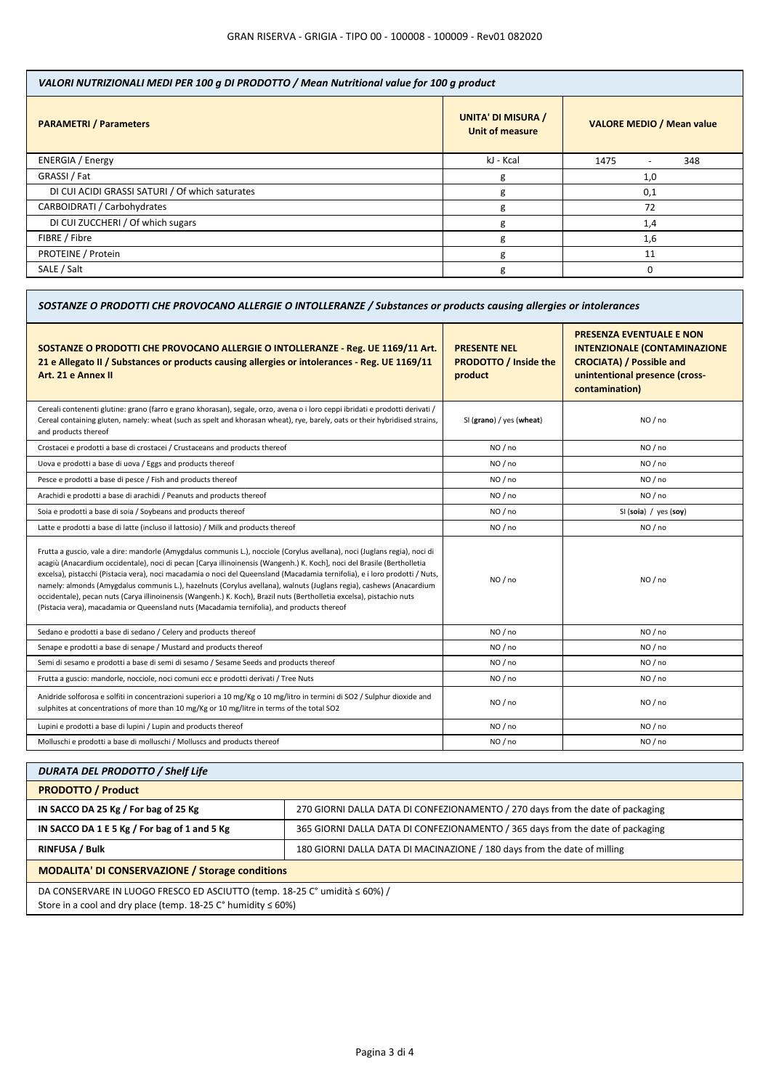| VALORI NUTRIZIONALI MEDI PER 100 g DI PRODOTTO / Mean Nutritional value for 100 g product |                                                     |                                         |  |
|-------------------------------------------------------------------------------------------|-----------------------------------------------------|-----------------------------------------|--|
| <b>PARAMETRI / Parameters</b>                                                             | <b>UNITA' DI MISURA /</b><br><b>Unit of measure</b> | <b>VALORE MEDIO / Mean value</b>        |  |
| <b>ENERGIA / Energy</b>                                                                   | kJ - Kcal                                           | 1475<br>348<br>$\overline{\phantom{0}}$ |  |
| GRASSI / Fat                                                                              | g                                                   | 1,0                                     |  |
| DI CUI ACIDI GRASSI SATURI / Of which saturates                                           | g                                                   | 0,1                                     |  |
| CARBOIDRATI / Carbohydrates                                                               | g                                                   | 72                                      |  |
| DI CUI ZUCCHERI / Of which sugars                                                         | g                                                   | 1,4                                     |  |
| FIBRE / Fibre                                                                             | g                                                   | 1,6                                     |  |
| PROTEINE / Protein                                                                        | g                                                   | 11                                      |  |
| SALE / Salt                                                                               | g                                                   | $\Omega$                                |  |

| SOSTANZE O PRODOTTI CHE PROVOCANO ALLERGIE O INTOLLERANZE / Substances or products causing allergies or intolerances                                                                                                                                                                                                                                                                                                                                                                                                                                                                                                                                                                                                               |                                                                |                                                                                                                                                               |  |
|------------------------------------------------------------------------------------------------------------------------------------------------------------------------------------------------------------------------------------------------------------------------------------------------------------------------------------------------------------------------------------------------------------------------------------------------------------------------------------------------------------------------------------------------------------------------------------------------------------------------------------------------------------------------------------------------------------------------------------|----------------------------------------------------------------|---------------------------------------------------------------------------------------------------------------------------------------------------------------|--|
| SOSTANZE O PRODOTTI CHE PROVOCANO ALLERGIE O INTOLLERANZE - Reg. UE 1169/11 Art.<br>21 e Allegato II / Substances or products causing allergies or intolerances - Reg. UE 1169/11<br>Art. 21 e Annex II                                                                                                                                                                                                                                                                                                                                                                                                                                                                                                                            | <b>PRESENTE NEL</b><br><b>PRODOTTO / Inside the</b><br>product | <b>PRESENZA EVENTUALE E NON</b><br><b>INTENZIONALE (CONTAMINAZIONE</b><br><b>CROCIATA) / Possible and</b><br>unintentional presence (cross-<br>contamination) |  |
| Cereali contenenti glutine: grano (farro e grano khorasan), segale, orzo, avena o i loro ceppi ibridati e prodotti derivati /<br>Cereal containing gluten, namely: wheat (such as spelt and khorasan wheat), rye, barely, oats or their hybridised strains,<br>and products thereof                                                                                                                                                                                                                                                                                                                                                                                                                                                | SI (grano) / yes (wheat)                                       | NO / no                                                                                                                                                       |  |
| Crostacei e prodotti a base di crostacei / Crustaceans and products thereof                                                                                                                                                                                                                                                                                                                                                                                                                                                                                                                                                                                                                                                        | NO / no                                                        | NO / no                                                                                                                                                       |  |
| Uova e prodotti a base di uova / Eggs and products thereof                                                                                                                                                                                                                                                                                                                                                                                                                                                                                                                                                                                                                                                                         | NO / no                                                        | NO/no                                                                                                                                                         |  |
| Pesce e prodotti a base di pesce / Fish and products thereof                                                                                                                                                                                                                                                                                                                                                                                                                                                                                                                                                                                                                                                                       | NO / no                                                        | NO / no                                                                                                                                                       |  |
| Arachidi e prodotti a base di arachidi / Peanuts and products thereof                                                                                                                                                                                                                                                                                                                                                                                                                                                                                                                                                                                                                                                              | NO / no                                                        | NO / no                                                                                                                                                       |  |
| Soia e prodotti a base di soia / Soybeans and products thereof                                                                                                                                                                                                                                                                                                                                                                                                                                                                                                                                                                                                                                                                     | NO/no                                                          | SI (soia) / yes (soy)                                                                                                                                         |  |
| Latte e prodotti a base di latte (incluso il lattosio) / Milk and products thereof                                                                                                                                                                                                                                                                                                                                                                                                                                                                                                                                                                                                                                                 | NO / no                                                        | NO / no                                                                                                                                                       |  |
| Frutta a guscio, vale a dire: mandorle (Amygdalus communis L.), nocciole (Corylus avellana), noci (Juglans regia), noci di<br>acagiù (Anacardium occidentale), noci di pecan [Carya illinoinensis (Wangenh.) K. Koch], noci del Brasile (Bertholletia<br>excelsa), pistacchi (Pistacia vera), noci macadamia o noci del Queensland (Macadamia ternifolia), e i loro prodotti / Nuts,<br>namely: almonds (Amygdalus communis L.), hazelnuts (Corylus avellana), walnuts (Juglans regia), cashews (Anacardium<br>occidentale), pecan nuts (Carya illinoinensis (Wangenh.) K. Koch), Brazil nuts (Bertholletia excelsa), pistachio nuts<br>(Pistacia vera), macadamia or Queensland nuts (Macadamia ternifolia), and products thereof | NO/no                                                          | NO/no                                                                                                                                                         |  |
| Sedano e prodotti a base di sedano / Celery and products thereof                                                                                                                                                                                                                                                                                                                                                                                                                                                                                                                                                                                                                                                                   | NO / no                                                        | NO / no                                                                                                                                                       |  |
| Senape e prodotti a base di senape / Mustard and products thereof                                                                                                                                                                                                                                                                                                                                                                                                                                                                                                                                                                                                                                                                  | NO / no                                                        | NO / no                                                                                                                                                       |  |
| Semi di sesamo e prodotti a base di semi di sesamo / Sesame Seeds and products thereof                                                                                                                                                                                                                                                                                                                                                                                                                                                                                                                                                                                                                                             | NO / no                                                        | NO / no                                                                                                                                                       |  |
| Frutta a guscio: mandorle, nocciole, noci comuni ecc e prodotti derivati / Tree Nuts                                                                                                                                                                                                                                                                                                                                                                                                                                                                                                                                                                                                                                               | NO / no                                                        | NO / no                                                                                                                                                       |  |
| Anidride solforosa e solfiti in concentrazioni superiori a 10 mg/Kg o 10 mg/litro in termini di SO2 / Sulphur dioxide and<br>sulphites at concentrations of more than 10 mg/Kg or 10 mg/litre in terms of the total SO2                                                                                                                                                                                                                                                                                                                                                                                                                                                                                                            | NO / no                                                        | NO / no                                                                                                                                                       |  |
| Lupini e prodotti a base di lupini / Lupin and products thereof                                                                                                                                                                                                                                                                                                                                                                                                                                                                                                                                                                                                                                                                    | NO / no                                                        | NO / no                                                                                                                                                       |  |
| Molluschi e prodotti a base di molluschi / Molluscs and products thereof                                                                                                                                                                                                                                                                                                                                                                                                                                                                                                                                                                                                                                                           | NO / no                                                        | NO/no                                                                                                                                                         |  |
|                                                                                                                                                                                                                                                                                                                                                                                                                                                                                                                                                                                                                                                                                                                                    |                                                                |                                                                                                                                                               |  |

| <b>DURATA DEL PRODOTTO / Shelf Life</b>                                                                                                                     |                                                                                |  |
|-------------------------------------------------------------------------------------------------------------------------------------------------------------|--------------------------------------------------------------------------------|--|
| <b>PRODOTTO / Product</b>                                                                                                                                   |                                                                                |  |
| IN SACCO DA 25 Kg / For bag of 25 Kg                                                                                                                        | 270 GIORNI DALLA DATA DI CONFEZIONAMENTO / 270 days from the date of packaging |  |
| IN SACCO DA 1 E 5 Kg / For bag of 1 and 5 Kg                                                                                                                | 365 GIORNI DALLA DATA DI CONFEZIONAMENTO / 365 days from the date of packaging |  |
| <b>RINFUSA / Bulk</b>                                                                                                                                       | 180 GIORNI DALLA DATA DI MACINAZIONE / 180 days from the date of milling       |  |
| <b>MODALITA' DI CONSERVAZIONE / Storage conditions</b>                                                                                                      |                                                                                |  |
| DA CONSERVARE IN LUOGO FRESCO ED ASCIUTTO (temp. 18-25 C° umidità ≤ 60%) /<br>Store in a cool and dry place (temp. 18-25 $C^{\circ}$ humidity $\leq 60\%$ ) |                                                                                |  |